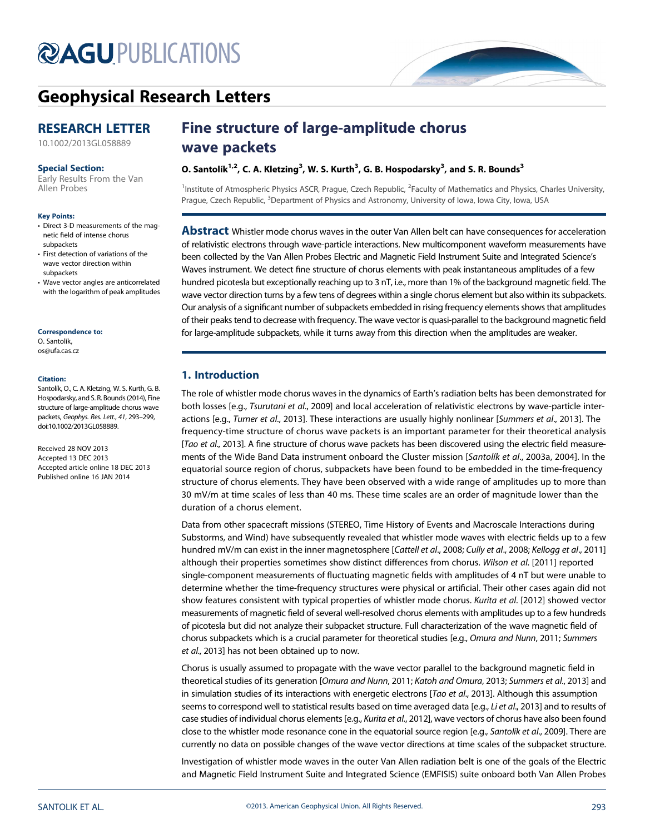# **@AGU[PUBLICATIONS](http://publications.agu.org/journals/)**



# [Geophysical Research Letters](http://onlinelibrary.wiley.com/journal/10.1002/(ISSN)1944-8007)

# RESEARCH LETTER

[10.1002/2013GL058889](http://dx.doi.org/10.1002/2013GL058889)

#### Special Section:

[Early Results From the Van](http://onlinelibrary.wiley.com/journal/10.1002/(ISSN)1944-8007/specialsection/VAPROBES1) [Allen Probes](http://onlinelibrary.wiley.com/journal/10.1002/(ISSN)1944-8007/specialsection/VAPROBES1)

#### Key Points:

- Direct 3-D measurements of the magnetic field of intense chorus subpackets
- First detection of variations of the wave vector direction within subpackets
- Wave vector angles are anticorrelated with the logarithm of peak amplitudes

#### Correspondence to:

O. Santolík, os@ufa.cas.cz

#### Citation:

Santolík, O., C. A. Kletzing, W. S. Kurth, G. B. Hospodarsky, and S. R. Bounds (2014), Fine structure of large-amplitude chorus wave packets, Geophys. Res. Lett., 41, 293–299, doi:10.1002/2013GL058889.

Received 28 NOV 2013 Accepted 13 DEC 2013 Accepted article online 18 DEC 2013 Published online 16 JAN 2014

# Fine structure of large-amplitude chorus wave packets

# O. Santolík $^{1,2}$ , C. A. Kletzing $^3$ , W. S. Kurth $^3$ , G. B. Hospodarsky $^3$ , and S. R. Bounds $^3$

<sup>1</sup>Institute of Atmospheric Physics ASCR, Prague, Czech Republic, <sup>2</sup>Faculty of Mathematics and Physics, Charles University, Prague, Czech Republic, <sup>3</sup>Department of Physics and Astronomy, University of Iowa, Iowa City, Iowa, USA

**Abstract** Whistler mode chorus waves in the outer Van Allen belt can have consequences for acceleration of relativistic electrons through wave-particle interactions. New multicomponent waveform measurements have been collected by the Van Allen Probes Electric and Magnetic Field Instrument Suite and Integrated Science's Waves instrument. We detect fine structure of chorus elements with peak instantaneous amplitudes of a few hundred picotesla but exceptionally reaching up to 3 nT, i.e., more than 1% of the background magnetic field. The wave vector direction turns by a few tens of degrees within a single chorus element but also within its subpackets. Our analysis of a significant number of subpackets embedded in rising frequency elements shows that amplitudes of their peaks tend to decrease with frequency. The wave vector is quasi-parallel to the background magnetic field for large-amplitude subpackets, while it turns away from this direction when the amplitudes are weaker.

# 1. Introduction

The role of whistler mode chorus waves in the dynamics of Earth's radiation belts has been demonstrated for both losses [e.g., Tsurutani et al., 2009] and local acceleration of relativistic electrons by wave-particle interactions [e.g., Turner et al., 2013]. These interactions are usually highly nonlinear [Summers et al., 2013]. The frequency-time structure of chorus wave packets is an important parameter for their theoretical analysis [Tao et al., 2013]. A fine structure of chorus wave packets has been discovered using the electric field measurements of the Wide Band Data instrument onboard the Cluster mission [Santolík et al., 2003a, 2004]. In the equatorial source region of chorus, subpackets have been found to be embedded in the time-frequency structure of chorus elements. They have been observed with a wide range of amplitudes up to more than 30 mV/m at time scales of less than 40 ms. These time scales are an order of magnitude lower than the duration of a chorus element.

Data from other spacecraft missions (STEREO, Time History of Events and Macroscale Interactions during Substorms, and Wind) have subsequently revealed that whistler mode waves with electric fields up to a few hundred mV/m can exist in the inner magnetosphere [Cattell et al., 2008; Cully et al., 2008; Kellogg et al., 2011] although their properties sometimes show distinct differences from chorus. Wilson et al. [2011] reported single-component measurements of fluctuating magnetic fields with amplitudes of 4 nT but were unable to determine whether the time-frequency structures were physical or artificial. Their other cases again did not show features consistent with typical properties of whistler mode chorus. Kurita et al. [2012] showed vector measurements of magnetic field of several well-resolved chorus elements with amplitudes up to a few hundreds of picotesla but did not analyze their subpacket structure. Full characterization of the wave magnetic field of chorus subpackets which is a crucial parameter for theoretical studies [e.g., Omura and Nunn, 2011; Summers et al., 2013] has not been obtained up to now.

Chorus is usually assumed to propagate with the wave vector parallel to the background magnetic field in theoretical studies of its generation [Omura and Nunn, 2011; Katoh and Omura, 2013; Summers et al., 2013] and in simulation studies of its interactions with energetic electrons [Tao et al., 2013]. Although this assumption seems to correspond well to statistical results based on time averaged data [e.g., Li et al., 2013] and to results of case studies of individual chorus elements [e.g., Kurita et al., 2012], wave vectors of chorus have also been found close to the whistler mode resonance cone in the equatorial source region [e.g., Santolik et al., 2009]. There are currently no data on possible changes of the wave vector directions at time scales of the subpacket structure.

Investigation of whistler mode waves in the outer Van Allen radiation belt is one of the goals of the Electric and Magnetic Field Instrument Suite and Integrated Science (EMFISIS) suite onboard both Van Allen Probes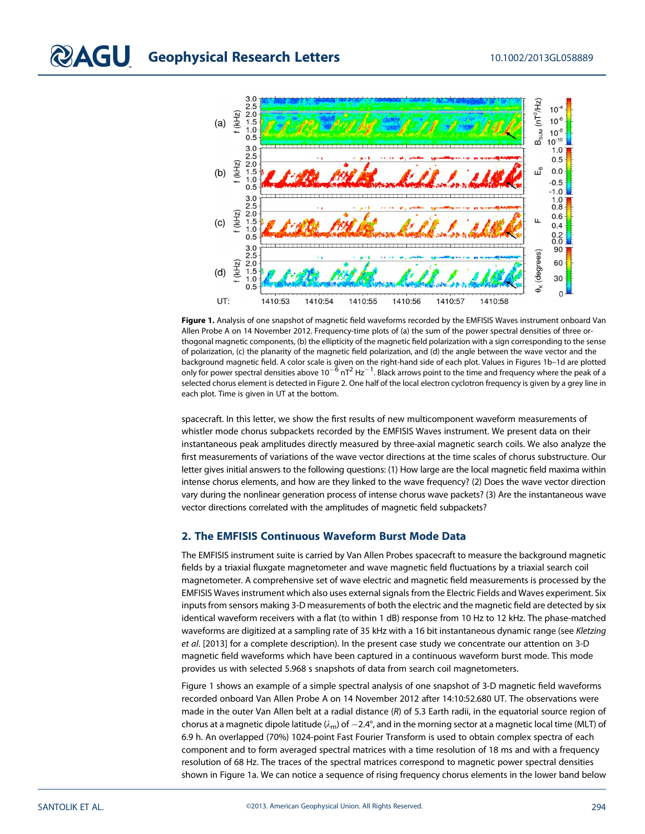

Figure 1. Analysis of one snapshot of magnetic field waveforms recorded by the EMFISIS Waves instrument onboard Van Allen Probe A on 14 November 2012. Frequency-time plots of (a) the sum of the power spectral densities of three orthogonal magnetic components, (b) the ellipticity of the magnetic field polarization with a sign corresponding to the sense of polarization, (c) the planarity of the magnetic field polarization, and (d) the angle between the wave vector and the background magnetic field. A color scale is given on the right-hand side of each plot. Values in Figures 1b–1d are plotted only for power spectral densities above 10<sup>-6</sup> nT<sup>2</sup> Hz<sup>-1</sup>. Black arrows point to the time and frequency where the peak of a selected chorus element is detected in Figure 2. One half of the local electron cyclotron frequency is given by a grey line in each plot. Time is given in UT at the bottom.

spacecraft. In this letter, we show the first results of new multicomponent waveform measurements of whistler mode chorus subpackets recorded by the EMFISIS Waves instrument. We present data on their instantaneous peak amplitudes directly measured by three-axial magnetic search coils. We also analyze the first measurements of variations of the wave vector directions at the time scales of chorus substructure. Our letter gives initial answers to the following questions: (1) How large are the local magnetic field maxima within intense chorus elements, and how are they linked to the wave frequency? (2) Does the wave vector direction vary during the nonlinear generation process of intense chorus wave packets? (3) Are the instantaneous wave vector directions correlated with the amplitudes of magnetic field subpackets?

# 2. The EMFISIS Continuous Waveform Burst Mode Data

The EMFISIS instrument suite is carried by Van Allen Probes spacecraft to measure the background magnetic fields by a triaxial fluxgate magnetometer and wave magnetic field fluctuations by a triaxial search coil magnetometer. A comprehensive set of wave electric and magnetic field measurements is processed by the EMFISIS Waves instrument which also uses external signals from the Electric Fields and Waves experiment. Six inputs from sensors making 3-D measurements of both the electric and the magnetic field are detected by six identical waveform receivers with a flat (to within 1 dB) response from 10 Hz to 12 kHz. The phase-matched waveforms are digitized at a sampling rate of 35 kHz with a 16 bit instantaneous dynamic range (see Kletzing et al. [2013] for a complete description). In the present case study we concentrate our attention on 3-D magnetic field waveforms which have been captured in a continuous waveform burst mode. This mode provides us with selected 5.968 s snapshots of data from search coil magnetometers.

Figure 1 shows an example of a simple spectral analysis of one snapshot of 3-D magnetic field waveforms recorded onboard Van Allen Probe A on 14 November 2012 after 14:10:52.680 UT. The observations were made in the outer Van Allen belt at a radial distance  $(R)$  of 5.3 Earth radii, in the equatorial source region of chorus at a magnetic dipole latitude  $(\lambda_m)$  of  $-2.4^\circ$ , and in the morning sector at a magnetic local time (MLT) of 6.9 h. An overlapped (70%) 1024-point Fast Fourier Transform is used to obtain complex spectra of each component and to form averaged spectral matrices with a time resolution of 18 ms and with a frequency resolution of 68 Hz. The traces of the spectral matrices correspond to magnetic power spectral densities shown in Figure 1a. We can notice a sequence of rising frequency chorus elements in the lower band below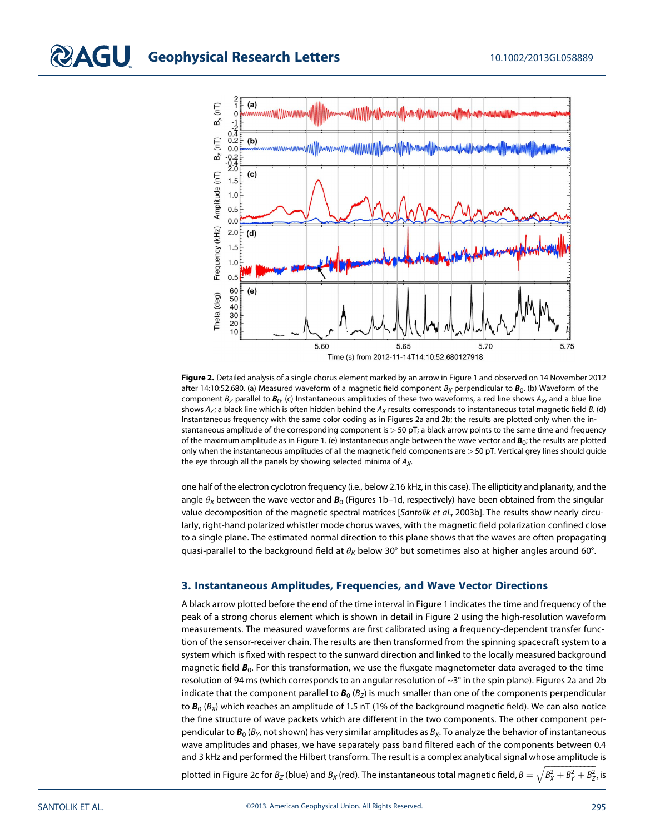

Figure 2. Detailed analysis of a single chorus element marked by an arrow in Figure 1 and observed on 14 November 2012 after 14:10:52.680. (a) Measured waveform of a magnetic field component  $B_X$  perpendicular to  $B_0$ . (b) Waveform of the component  $B_z$  parallel to  $B_0$ . (c) Instantaneous amplitudes of these two waveforms, a red line shows  $A_x$ , and a blue line shows  $A_Z$ ; a black line which is often hidden behind the  $A_X$  results corresponds to instantaneous total magnetic field B. (d) Instantaneous frequency with the same color coding as in Figures 2a and 2b; the results are plotted only when the instantaneous amplitude of the corresponding component is > 50 pT; a black arrow points to the same time and frequency of the maximum amplitude as in Figure 1. (e) Instantaneous angle between the wave vector and  $B_0$ ; the results are plotted only when the instantaneous amplitudes of all the magnetic field components are > 50 pT. Vertical grey lines should guide the eye through all the panels by showing selected minima of  $A<sub>x</sub>$ .

one half of the electron cyclotron frequency (i.e., below 2.16 kHz, in this case). The ellipticity and planarity, and the angle  $\theta_K$  between the wave vector and  $\mathbf{B}_0$  (Figures 1b–1d, respectively) have been obtained from the singular value decomposition of the magnetic spectral matrices [Santolík et al., 2003b]. The results show nearly circularly, right-hand polarized whistler mode chorus waves, with the magnetic field polarization confined close to a single plane. The estimated normal direction to this plane shows that the waves are often propagating quasi-parallel to the background field at  $\theta_K$  below 30° but sometimes also at higher angles around 60°.

# 3. Instantaneous Amplitudes, Frequencies, and Wave Vector Directions

A black arrow plotted before the end of the time interval in Figure 1 indicates the time and frequency of the peak of a strong chorus element which is shown in detail in Figure 2 using the high-resolution waveform measurements. The measured waveforms are first calibrated using a frequency-dependent transfer function of the sensor-receiver chain. The results are then transformed from the spinning spacecraft system to a system which is fixed with respect to the sunward direction and linked to the locally measured background magnetic field  $B_0$ . For this transformation, we use the fluxgate magnetometer data averaged to the time resolution of 94 ms (which corresponds to an angular resolution of ~3° in the spin plane). Figures 2a and 2b indicate that the component parallel to  $B_0$  ( $B_2$ ) is much smaller than one of the components perpendicular to  $B_0 (B_\chi)$  which reaches an amplitude of 1.5 nT (1% of the background magnetic field). We can also notice the fine structure of wave packets which are different in the two components. The other component perpendicular to  $B_0$  ( $B<sub>Y</sub>$ , not shown) has very similar amplitudes as  $B<sub>X</sub>$ . To analyze the behavior of instantaneous wave amplitudes and phases, we have separately pass band filtered each of the components between 0.4 and 3 kHz and performed the Hilbert transform. The result is a complex analytical signal whose amplitude is

plotted in Figure 2c for  $B_Z$  (blue) and  $B_X$  (red). The instantaneous total magnetic field,  $B=\sqrt{B^2_X+B^2_Y+B^2_Z} ,$  is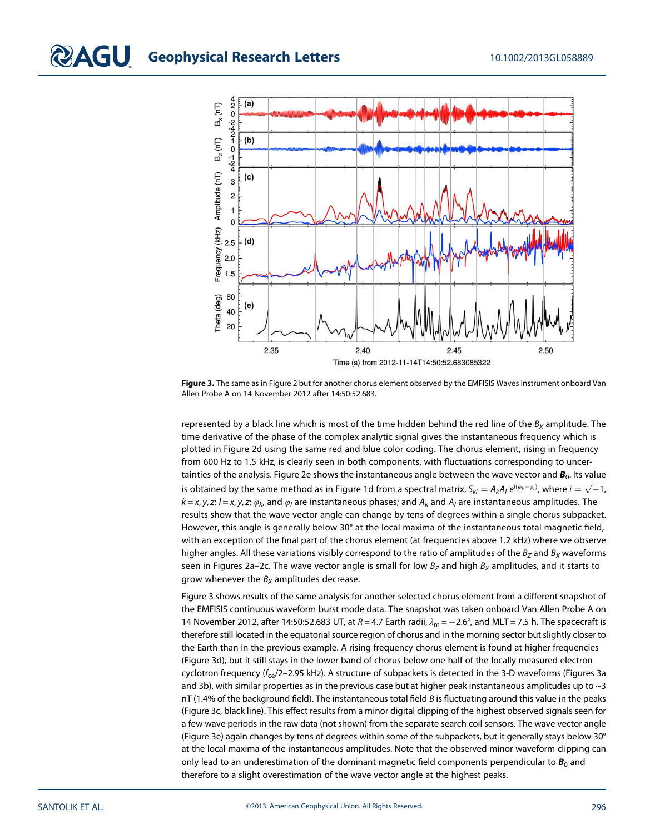

Figure 3. The same as in Figure 2 but for another chorus element observed by the EMFISIS Waves instrument onboard Van Allen Probe A on 14 November 2012 after 14:50:52.683.

represented by a black line which is most of the time hidden behind the red line of the  $B_x$  amplitude. The time derivative of the phase of the complex analytic signal gives the instantaneous frequency which is plotted in Figure 2d using the same red and blue color coding. The chorus element, rising in frequency from 600 Hz to 1.5 kHz, is clearly seen in both components, with fluctuations corresponding to uncertainties of the analysis. Figure 2e shows the instantaneous angle between the wave vector and  $B_0$ . Its value is obtained by the same method as in Figure 1d from a spectral matrix,  $S_{kl}=A_kA_l\,e^{i(\phi_k-\phi_l)}$ , where  $i=\sqrt{-1}$ ,  $k = x, y, z$ ;  $l = x, y, z$ ;  $\varphi_k$ , and  $\varphi_l$  are instantaneous phases; and  $A_k$  and  $A_l$  are instantaneous amplitudes. The results show that the wave vector angle can change by tens of degrees within a single chorus subpacket. However, this angle is generally below 30° at the local maxima of the instantaneous total magnetic field, with an exception of the final part of the chorus element (at frequencies above 1.2 kHz) where we observe higher angles. All these variations visibly correspond to the ratio of amplitudes of the  $B_z$  and  $B_x$  waveforms seen in Figures 2a–2c. The wave vector angle is small for low  $B_Z$  and high  $B_X$  amplitudes, and it starts to grow whenever the  $B_X$  amplitudes decrease.

Figure 3 shows results of the same analysis for another selected chorus element from a different snapshot of the EMFISIS continuous waveform burst mode data. The snapshot was taken onboard Van Allen Probe A on 14 November 2012, after 14:50:52.683 UT, at  $R = 4.7$  Earth radii,  $\lambda_m = -2.6^\circ$ , and MLT = 7.5 h. The spacecraft is therefore still located in the equatorial source region of chorus and in the morning sector but slightly closer to the Earth than in the previous example. A rising frequency chorus element is found at higher frequencies (Figure 3d), but it still stays in the lower band of chorus below one half of the locally measured electron cyclotron frequency ( $f_{ce}/2$ –2.95 kHz). A structure of subpackets is detected in the 3-D waveforms (Figures 3a and 3b), with similar properties as in the previous case but at higher peak instantaneous amplitudes up to  $\sim$ 3 nT (1.4% of the background field). The instantaneous total field B is fluctuating around this value in the peaks (Figure 3c, black line). This effect results from a minor digital clipping of the highest observed signals seen for a few wave periods in the raw data (not shown) from the separate search coil sensors. The wave vector angle (Figure 3e) again changes by tens of degrees within some of the subpackets, but it generally stays below 30° at the local maxima of the instantaneous amplitudes. Note that the observed minor waveform clipping can only lead to an underestimation of the dominant magnetic field components perpendicular to  $B_0$  and therefore to a slight overestimation of the wave vector angle at the highest peaks.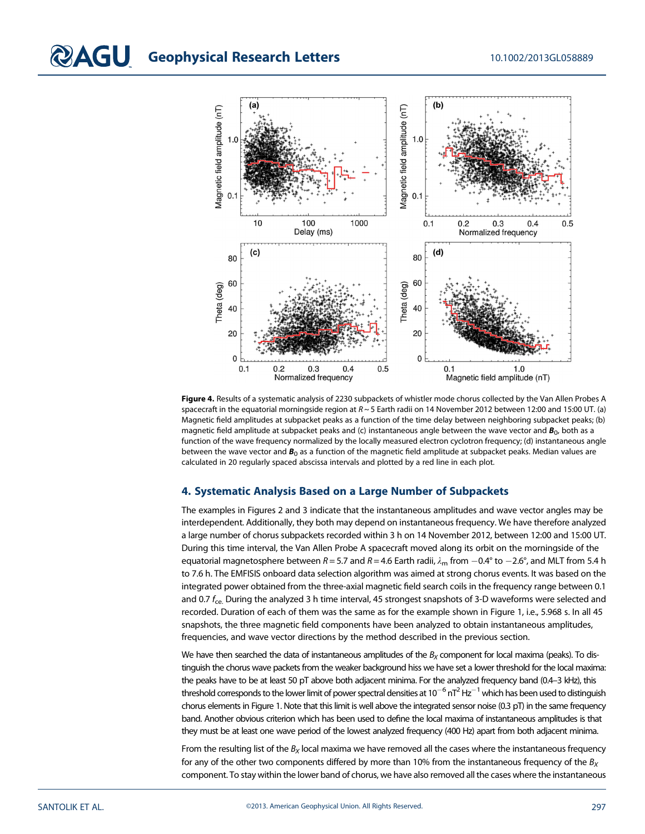

Figure 4. Results of a systematic analysis of 2230 subpackets of whistler mode chorus collected by the Van Allen Probes A spacecraft in the equatorial morningside region at  $R \sim 5$  Earth radii on 14 November 2012 between 12:00 and 15:00 UT. (a) Magnetic field amplitudes at subpacket peaks as a function of the time delay between neighboring subpacket peaks; (b) magnetic field amplitude at subpacket peaks and (c) instantaneous angle between the wave vector and  $B_0$ , both as a function of the wave frequency normalized by the locally measured electron cyclotron frequency; (d) instantaneous angle between the wave vector and  $B_0$  as a function of the magnetic field amplitude at subpacket peaks. Median values are calculated in 20 regularly spaced abscissa intervals and plotted by a red line in each plot.

# 4. Systematic Analysis Based on a Large Number of Subpackets

The examples in Figures 2 and 3 indicate that the instantaneous amplitudes and wave vector angles may be interdependent. Additionally, they both may depend on instantaneous frequency. We have therefore analyzed a large number of chorus subpackets recorded within 3 h on 14 November 2012, between 12:00 and 15:00 UT. During this time interval, the Van Allen Probe A spacecraft moved along its orbit on the morningside of the equatorial magnetosphere between R = 5.7 and R = 4.6 Earth radii,  $\lambda_{\rm m}$  from -0.4° to -2.6°, and MLT from 5.4 h to 7.6 h. The EMFISIS onboard data selection algorithm was aimed at strong chorus events. It was based on the integrated power obtained from the three-axial magnetic field search coils in the frequency range between 0.1 and 0.7 f<sub>ce.</sub> During the analyzed 3 h time interval, 45 strongest snapshots of 3-D waveforms were selected and recorded. Duration of each of them was the same as for the example shown in Figure 1, i.e., 5.968 s. In all 45 snapshots, the three magnetic field components have been analyzed to obtain instantaneous amplitudes, frequencies, and wave vector directions by the method described in the previous section.

We have then searched the data of instantaneous amplitudes of the  $B_X$  component for local maxima (peaks). To distinguish the chorus wave packets from the weaker background hiss we have set a lower threshold for the local maxima: the peaks have to be at least 50 pT above both adjacent minima. For the analyzed frequency band (0.4–3 kHz), this threshold corresponds to the lower limit of power spectral densities at  $10^{-6}$  nT<sup>2</sup> Hz<sup>-1</sup> which has been used to distinguish chorus elements in Figure 1. Note that this limit is well above the integrated sensor noise (0.3 pT) in the same frequency band. Another obvious criterion which has been used to define the local maxima of instantaneous amplitudes is that they must be at least one wave period of the lowest analyzed frequency (400 Hz) apart from both adjacent minima.

From the resulting list of the  $B<sub>x</sub>$  local maxima we have removed all the cases where the instantaneous frequency for any of the other two components differed by more than 10% from the instantaneous frequency of the  $B_X$ component. To stay within the lower band of chorus, we have also removed all the cases where the instantaneous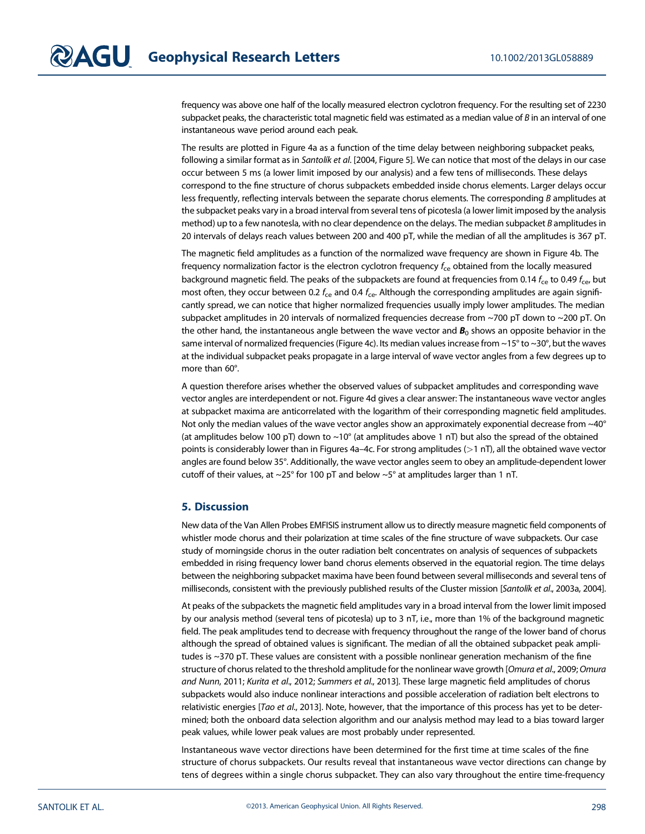frequency was above one half of the locally measured electron cyclotron frequency. For the resulting set of 2230 subpacket peaks, the characteristic total magnetic field was estimated as a median value of  $B$  in an interval of one instantaneous wave period around each peak.

The results are plotted in Figure 4a as a function of the time delay between neighboring subpacket peaks, following a similar format as in Santolík et al. [2004, Figure 5]. We can notice that most of the delays in our case occur between 5 ms (a lower limit imposed by our analysis) and a few tens of milliseconds. These delays correspond to the fine structure of chorus subpackets embedded inside chorus elements. Larger delays occur less frequently, reflecting intervals between the separate chorus elements. The corresponding B amplitudes at the subpacket peaks vary in a broad interval from several tens of picotesla (a lower limit imposed by the analysis method) up to a few nanotesla, with no clear dependence on the delays. The median subpacket B amplitudes in 20 intervals of delays reach values between 200 and 400 pT, while the median of all the amplitudes is 367 pT.

The magnetic field amplitudes as a function of the normalized wave frequency are shown in Figure 4b. The frequency normalization factor is the electron cyclotron frequency f<sub>ce</sub> obtained from the locally measured background magnetic field. The peaks of the subpackets are found at frequencies from 0.14  $f_{ce}$  to 0.49  $f_{ce}$ , but most often, they occur between 0.2  $f_{ce}$  and 0.4  $f_{ce}$ . Although the corresponding amplitudes are again significantly spread, we can notice that higher normalized frequencies usually imply lower amplitudes. The median subpacket amplitudes in 20 intervals of normalized frequencies decrease from ~700 pT down to ~200 pT. On the other hand, the instantaneous angle between the wave vector and  $B_0$  shows an opposite behavior in the same interval of normalized frequencies (Figure 4c). Its median values increase from  $\sim$ 15° to  $\sim$ 30°, but the waves at the individual subpacket peaks propagate in a large interval of wave vector angles from a few degrees up to more than 60°.

A question therefore arises whether the observed values of subpacket amplitudes and corresponding wave vector angles are interdependent or not. Figure 4d gives a clear answer: The instantaneous wave vector angles at subpacket maxima are anticorrelated with the logarithm of their corresponding magnetic field amplitudes. Not only the median values of the wave vector angles show an approximately exponential decrease from  $\sim$ 40 $^{\circ}$ (at amplitudes below 100 pT) down to  $\sim$ 10° (at amplitudes above 1 nT) but also the spread of the obtained points is considerably lower than in Figures 4a–4c. For strong amplitudes  $(>1 \text{ nT})$ , all the obtained wave vector angles are found below 35°. Additionally, the wave vector angles seem to obey an amplitude-dependent lower cutoff of their values, at  $\sim$ 25° for 100 pT and below  $\sim$ 5° at amplitudes larger than 1 nT.

#### 5. Discussion

New data of the Van Allen Probes EMFISIS instrument allow us to directly measure magnetic field components of whistler mode chorus and their polarization at time scales of the fine structure of wave subpackets. Our case study of morningside chorus in the outer radiation belt concentrates on analysis of sequences of subpackets embedded in rising frequency lower band chorus elements observed in the equatorial region. The time delays between the neighboring subpacket maxima have been found between several milliseconds and several tens of milliseconds, consistent with the previously published results of the Cluster mission [Santolík et al., 2003a, 2004].

At peaks of the subpackets the magnetic field amplitudes vary in a broad interval from the lower limit imposed by our analysis method (several tens of picotesla) up to 3 nT, i.e., more than 1% of the background magnetic field. The peak amplitudes tend to decrease with frequency throughout the range of the lower band of chorus although the spread of obtained values is significant. The median of all the obtained subpacket peak amplitudes is ~370 pT. These values are consistent with a possible nonlinear generation mechanism of the fine structure of chorus related to the threshold amplitude for the nonlinear wave growth [Omura et al., 2009; Omura and Nunn, 2011; Kurita et al., 2012; Summers et al., 2013]. These large magnetic field amplitudes of chorus subpackets would also induce nonlinear interactions and possible acceleration of radiation belt electrons to relativistic energies [Tao et al., 2013]. Note, however, that the importance of this process has yet to be determined; both the onboard data selection algorithm and our analysis method may lead to a bias toward larger peak values, while lower peak values are most probably under represented.

Instantaneous wave vector directions have been determined for the first time at time scales of the fine structure of chorus subpackets. Our results reveal that instantaneous wave vector directions can change by tens of degrees within a single chorus subpacket. They can also vary throughout the entire time-frequency